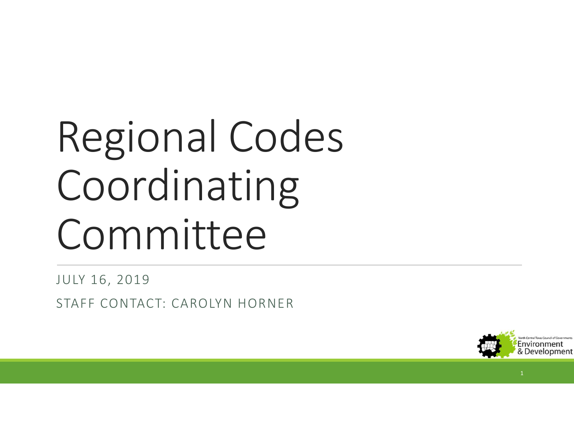## Regional Codes Coordinating Committee

JULY 16, 2019

STAFF CONTACT: CAROLYN HORNER

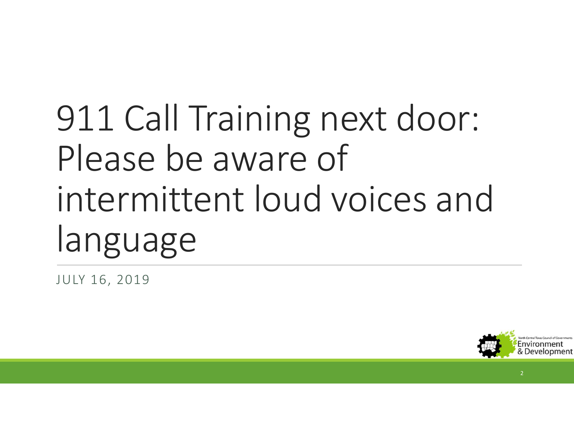## 911 Call Training next door: Please be aware of intermittent loud voices and language

JULY 16, 2019



2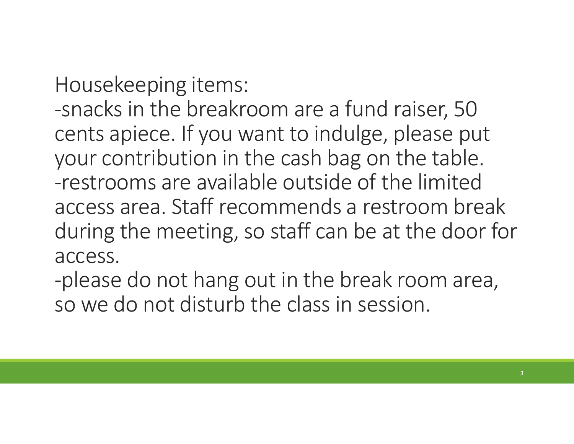Housekeeping items:

-snacks in the breakroom are a fund raiser, 50 cents apiece. If you want to indulge, please put your contribution in the cash bag on the table. -restrooms are available outside of the limited access area. Staff recommends a restroom break during the meeting, so staff can be at the door for access.

-please do not hang out in the break room area, so we do not disturb the class in session.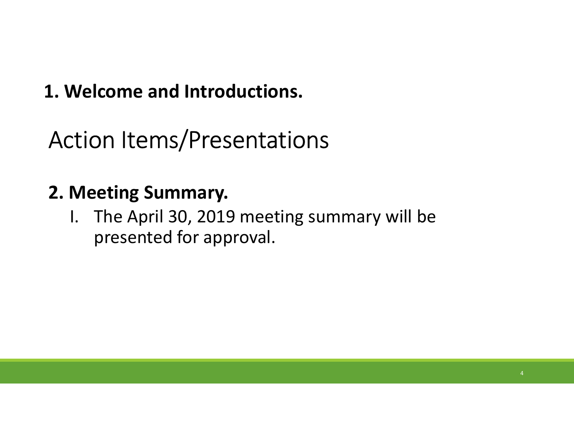#### 1. Welcome and Introductions.

Action Items/Presentations

#### 2. Meeting Summary.

Nelcome and Introductions.<br>I. The April 30, 2019 meeting summary will be<br>I. The April 30, 2019 meeting summary will be<br>presented for approval. presented for approval.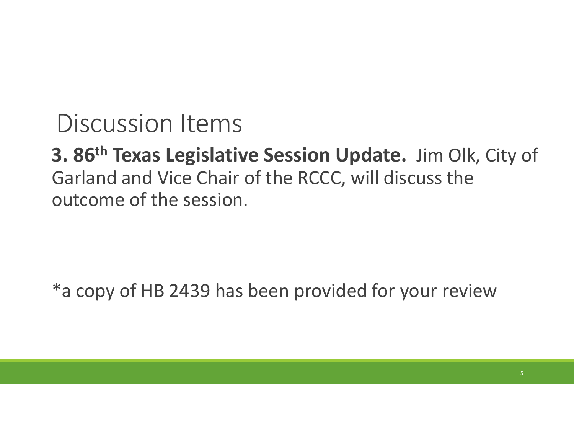3. 86<sup>th</sup> Texas Legislative Session Update. Jim Olk, City of Garland and Vice Chair of the RCCC, will discuss the outcome of the session.

\*a copy of HB 2439 has been provided for your review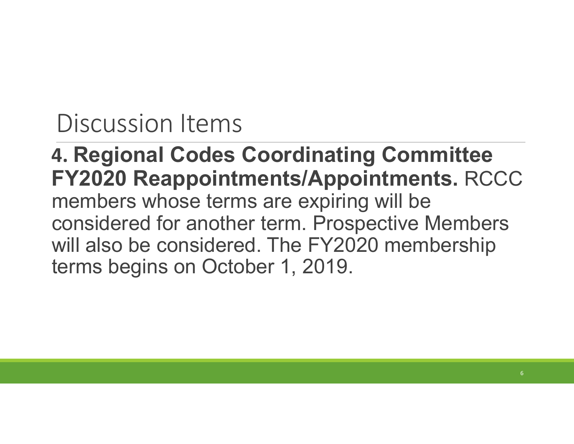4. Regional Codes Coordinating Committee FY2020 Reappointments/Appointments. RCCC members whose terms are expiring will be considered for another term. Prospective Members will also be considered. The FY2020 membership terms begins on October 1, 2019.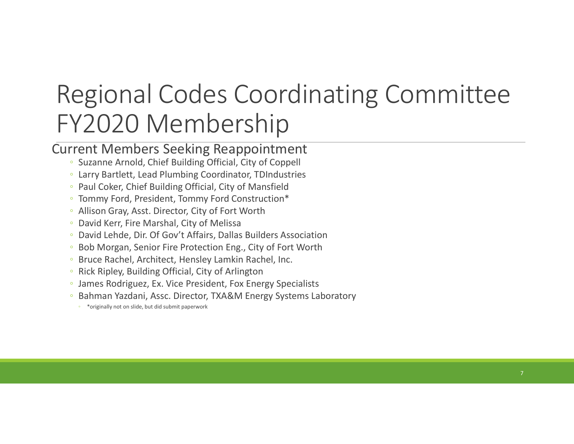## Regional Codes Coordinating Committee FY2020 Membership

#### Current Members Seeking Reappointment

- Suzanne Arnold, Chief Building Official, City of Coppell
- Larry Bartlett, Lead Plumbing Coordinator, TDIndustries
- Paul Coker, Chief Building Official, City of Mansfield
- Tommy Ford, President, Tommy Ford Construction\* Allison Gray, Asst. Director, City of Fort Worth
- 
- David Kerr, Fire Marshal, City of Melissa
- David Lehde, Dir. Of Gov't Affairs, Dallas Builders Association
- Bob Morgan, Senior Fire Protection Eng., City of Fort Worth
- Bruce Rachel, Architect, Hensley Lamkin Rachel, Inc.
- Rick Ripley, Building Official, City of Arlington
- James Rodriguez, Ex. Vice President, Fox Energy Specialists Bahman Yazdani, Assc. Director, TXA&M Energy Systems Laboratory
- 
- \*originally not on slide, but did submit paperwork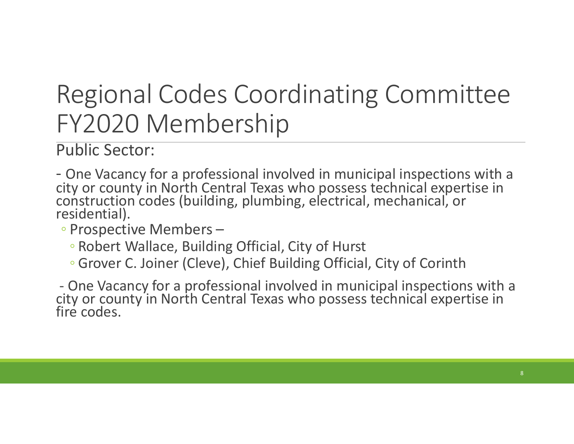## Regional Codes Coordinating Committee FY2020 Membership

Public Sector:

- One Vacancy for a professional involved in municipal inspections with a city or county in North Central Texas who possess technical expertise in construction codes (building, plumbing, electrical, mechanical, or residential). FY2020 Membership<br>
Public Sector:<br>
- One Vacancy for a professional involved in municipal inspections with a<br>
city or county in North Central Texas who possess technical expertise in<br>
construction codes (building, plumbing

◦ Prospective Members –

- Robert Wallace, Building Official, City of Hurst
- Grover C. Joiner (Cleve), Chief Building Official, City of Corinth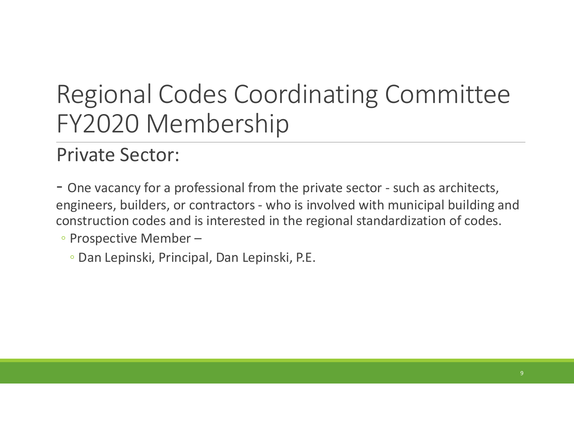## Regional Codes Coordinating Committee FY2020 Membership Regional Codes Coordinating Committee<br>- FY2020 Membership<br>- One vacancy for a professional from the private sector - such as architects,<br>- One vacancy for a professional from the private sector - such as architects,<br>engine Regional Codes Coordinating Committee<br>FY2020 Membership<br>Private Sector:<br>- One vacancy for a professional from the private sector - such as architects,<br>engineers, builders, or contractors - who is involved with municipal bu

#### Private Sector:

construction codes and is interested in the regional standardization of codes.

◦ Prospective Member –

◦ Dan Lepinski, Principal, Dan Lepinski, P.E.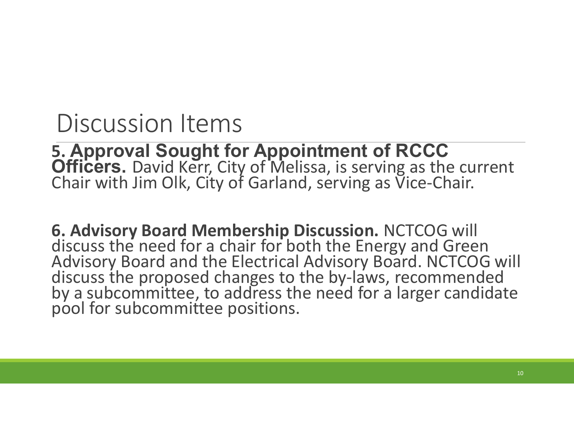5. Approval Sought for Appointment of RCCC Officers. David Kerr, City of Melissa, is serving as the current Chair with Jim Olk, City of Garland, serving as Vice-Chair.

6. Advisory Board Membership Discussion. NCTCOG will discuss the need for a chair for both the Energy and Green<br>Advisory Board and the Electrical Advisory Board. NCTCOG will<br>discuss the proposed changes to the by-laws, recommended<br>by a subcommittee, to address the need for a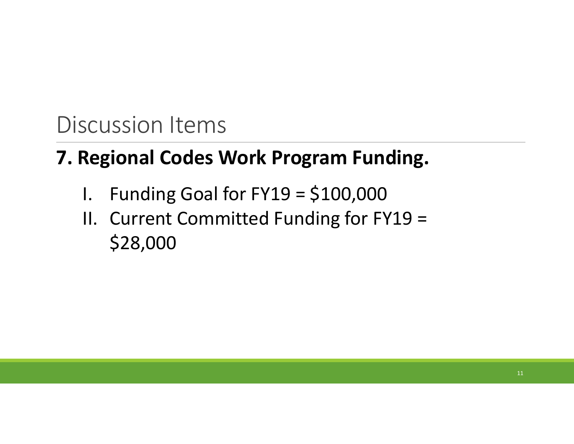#### 7. Regional Codes Work Program Funding.

- 
- Scussion Items<br>**Regional Codes Work Program Funding.**<br>I. Funding Goal for FY19 = \$100,000<br>II. Current Committed Funding for FY19 =<br>\$28,000 Scussion Items<br> **Regional Codes Work Program Funding.**<br>
I. Funding Goal for FY19 = \$100,000<br>
II. Current Committed Funding for FY19 =<br>
\$28,000 \$28,000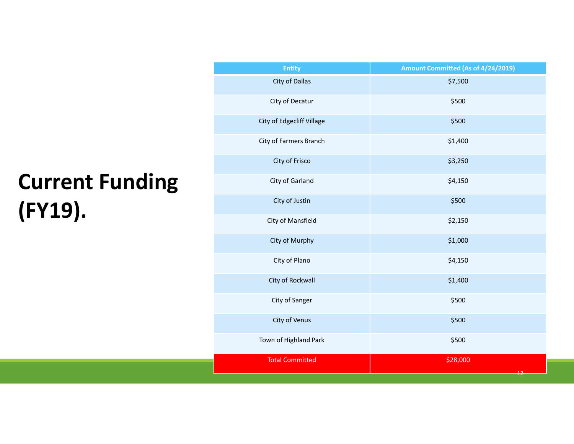## Current Funding (FY19).

| Town of Highland Park     | \$500                              |
|---------------------------|------------------------------------|
| City of Venus             | \$500                              |
| City of Sanger            | \$500                              |
| City of Rockwall          | \$1,400                            |
| City of Plano             | \$4,150                            |
| City of Murphy            | \$1,000                            |
| City of Mansfield         | \$2,150                            |
| City of Justin            | \$500                              |
| City of Garland           | \$4,150                            |
| City of Frisco            | \$3,250                            |
| City of Farmers Branch    | \$1,400                            |
| City of Edgecliff Village | \$500                              |
| City of Decatur           | \$500                              |
| City of Dallas            | \$7,500                            |
| <b>Entity</b>             | Amount Committed (As of 4/24/2019) |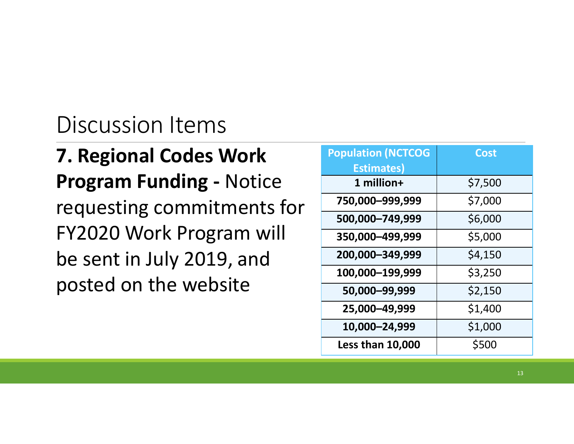#### 7. Regional Codes Work Program Funding - Notice requesting commitments for FY2020 Work Program will be sent in July 2019, and posted on the website

| <b>Population (NCTCOG</b><br><b>Estimates)</b> | <b>Cost</b> |  |
|------------------------------------------------|-------------|--|
| 1 million+                                     | \$7,500     |  |
| 750,000-999,999                                | \$7,000     |  |
| 500,000-749,999                                | \$6,000     |  |
| 350,000-499,999                                | \$5,000     |  |
| 200,000 - 349,999                              | \$4,150     |  |
| 100,000-199,999                                | \$3,250     |  |
| 50,000-99,999                                  | \$2,150     |  |
| 25,000-49,999                                  | \$1,400     |  |
| 10,000-24,999                                  | \$1,000     |  |
| <b>Less than 10,000</b>                        | \$500       |  |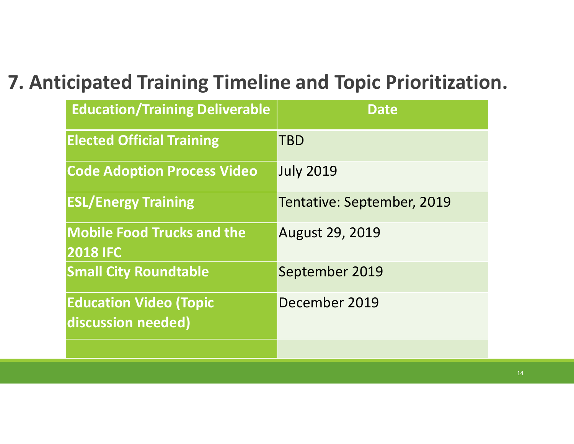#### 7. Anticipated Training Timeline and Topic Prioritization.

|                                                      | icipated Training Timeline and Topic Prioritization. |
|------------------------------------------------------|------------------------------------------------------|
| <b>Education/Training Deliverable</b>                | <b>Date</b>                                          |
| <b>Elected Official Training</b>                     | TBD                                                  |
| <b>Code Adoption Process Video</b>                   | <b>July 2019</b>                                     |
| <b>ESL/Energy Training</b>                           | Tentative: September, 2019                           |
| <b>Mobile Food Trucks and the</b><br><b>2018 IFC</b> | <b>August 29, 2019</b>                               |
| <b>Small City Roundtable</b>                         | September 2019                                       |
| <b>Education Video (Topic</b><br>discussion needed)  | December 2019                                        |
|                                                      |                                                      |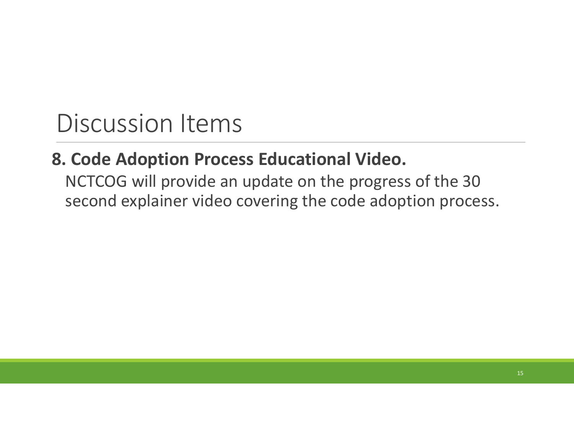#### 8. Code Adoption Process Educational Video.

NCTCOG will provide an update on the progress of the 30 second explainer video covering the code adoption process.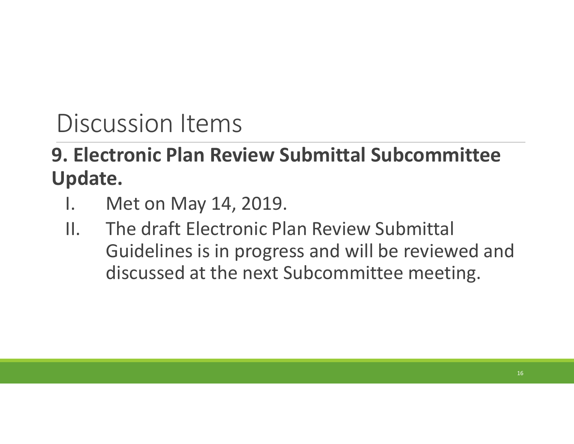# 9. Electronic Plan Review Submittal Subcommittee Update. Discussion Items<br> **Electronic Plan Review Submit<br>
pdate.**<br>
I. Met on May 14, 2019.<br>
II. The draft Electronic Plan Rev<br>
Guidelines is in progress and

- 
- Discussion Items<br> **Electronic Plan Review Submittal Subcommittee<br>
pdate.**<br>
I. Met on May 14, 2019.<br>
II. The draft Electronic Plan Review Submittal<br>
Guidelines is in progress and will be reviewed and<br>
discussed at the next Guidelines is in progress and will be reviewed and discussed at the next Subcommittee meeting.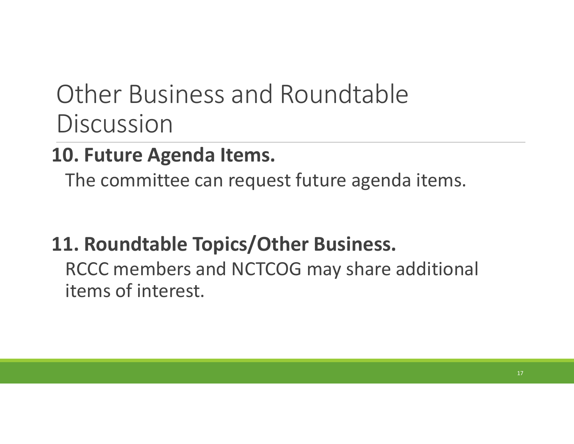## Other Business and Roundtable **Discussion**

#### 10. Future Agenda Items.

The committee can request future agenda items.

#### 11. Roundtable Topics/Other Business.

RCCC members and NCTCOG may share additional items of interest.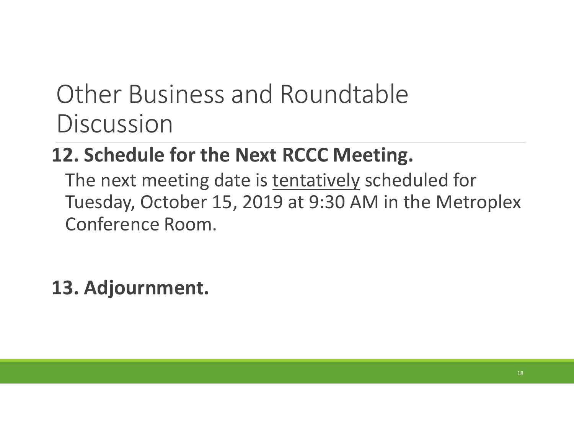## Other Business and Roundtable **Discussion**

#### 12. Schedule for the Next RCCC Meeting.

Other Business and Roundtable<br>Discussion<br>**2. Schedule for the Next RCCC Meeting.**<br>The next meeting date is <u>tentatively</u> scheduled for<br>Tuesday, October 15, 2019 at 9:30 AM in the Metroplex<br>Conference Room. Tuesday, October 15, 2019 at 9:30 AM in the Metroplex Conference Room.

#### 13. Adjournment.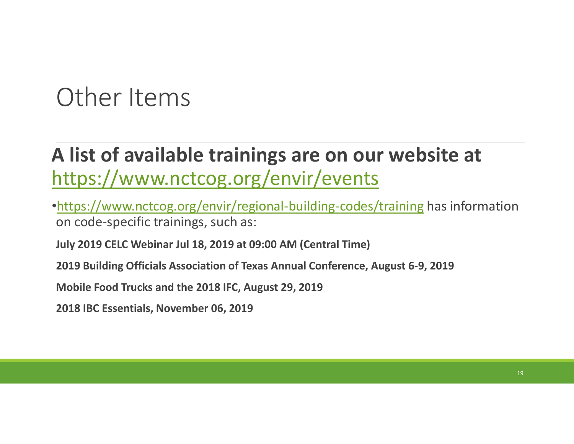## Other Items

# A list of available trainings are on our website at https://www.nctcog.org/envir/events Other Items<br> **A list of available trainings are on our website at**<br>
https://www.nctcog.org/envir/events<br>
<u>https://www.nctcog.org/envir/regional-building-codes/training</u> has inform<br>
on code-specific trainings, such as:<br>
Jul

•https://www.nctcog.org/envir/regional-building-codes/training has information on code-specific trainings, such as:

2019 Building Officials Association of Texas Annual Conference, August 6-9, 2019

Mobile Food Trucks and the 2018 IFC, August 29, 2019

2018 IBC Essentials, November 06, 2019